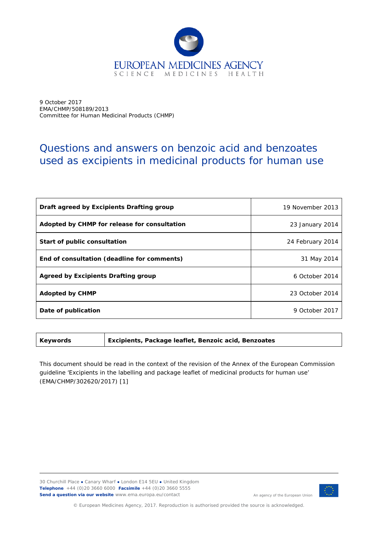

9 October 2017 EMA/CHMP/508189/2013 Committee for Human Medicinal Products (CHMP)

## Questions and answers on benzoic acid and benzoates used as excipients in medicinal products for human use

| Draft agreed by Excipients Drafting group    | 19 November 2013 |
|----------------------------------------------|------------------|
| Adopted by CHMP for release for consultation | 23 January 2014  |
| Start of public consultation                 | 24 February 2014 |
| End of consultation (deadline for comments)  | 31 May 2014      |
| Agreed by Excipients Drafting group          | 6 October 2014   |
| <b>Adopted by CHMP</b>                       | 23 October 2014  |
| Date of publication                          | 9 October 2017   |

**Keywords** *Excipients, Package leaflet, Benzoic acid, Benzoates*

This document should be read in the context of the revision of the Annex of the European Commission guideline 'Excipients in the labelling and package leaflet of medicinal products for human use' (EMA/CHMP/302620/2017) [\[1\]](#page-5-0)

30 Churchill Place **●** Canary Wharf **●** London E14 5EU **●** United Kingdom **Telephone** +44 (0)20 3660 6000 **Facsimile** +44 (0)20 3660 5555 **Send a question via our website** www.ema.europa.eu/contact



© European Medicines Agency, 2017. Reproduction is authorised provided the source is acknowledged.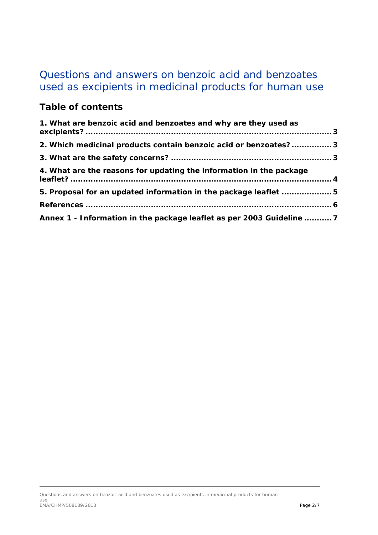# Questions and answers on benzoic acid and benzoates used as excipients in medicinal products for human use

## **Table of contents**

| 1. What are benzoic acid and benzoates and why are they used as       |  |
|-----------------------------------------------------------------------|--|
| 2. Which medicinal products contain benzoic acid or benzoates?3       |  |
|                                                                       |  |
| 4. What are the reasons for updating the information in the package   |  |
| 5. Proposal for an updated information in the package leaflet 5       |  |
|                                                                       |  |
| Annex 1 - Information in the package leaflet as per 2003 Guideline  7 |  |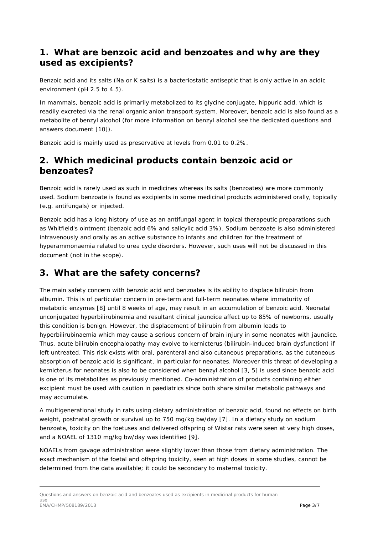#### <span id="page-2-0"></span>**1. What are benzoic acid and benzoates and why are they used as excipients?**

Benzoic acid and its salts (Na or K salts) is a bacteriostatic antiseptic that is only active in an acidic environment (pH 2.5 to 4.5).

In mammals, benzoic acid is primarily metabolized to its glycine conjugate, hippuric acid, which is readily excreted via the renal organic anion transport system. Moreover, benzoic acid is also found as a metabolite of benzyl alcohol (for more information on benzyl alcohol see the dedicated questions and answers document [\[10\]](#page-5-2)).

Benzoic acid is mainly used as preservative at levels from 0.01 to 0.2%.

#### <span id="page-2-1"></span>**2. Which medicinal products contain benzoic acid or benzoates?**

Benzoic acid is rarely used as such in medicines whereas its salts (benzoates) are more commonly used. Sodium benzoate is found as excipients in some medicinal products administered orally, topically (e.g. antifungals) or injected.

Benzoic acid has a long history of use as an antifungal agent in topical therapeutic preparations such as Whitfield's ointment (benzoic acid 6% and salicylic acid 3%). Sodium benzoate is also administered intravenously and orally as an active substance to infants and children for the treatment of hyperammonaemia related to urea cycle disorders. However, such uses will not be discussed in this document (not in the scope).

## <span id="page-2-2"></span>**3. What are the safety concerns?**

The main safety concern with benzoic acid and benzoates is its ability to displace bilirubin from albumin. This is of particular concern in pre-term and full-term neonates where immaturity of metabolic enzymes [\[8\]](#page-5-3) until 8 weeks of age, may result in an accumulation of benzoic acid. Neonatal unconjugated hyperbilirubinemia and resultant clinical jaundice affect up to 85% of newborns, usually this condition is benign. However, the displacement of bilirubin from albumin leads to hyperbilirubinaemia which may cause a serious concern of brain injury in some neonates with jaundice. Thus, acute bilirubin encephalopathy may evolve to kernicterus (bilirubin-induced brain dysfunction) if left untreated. This risk exists with oral, parenteral and also cutaneous preparations, as the cutaneous absorption of benzoic acid is significant, in particular for neonates. Moreover this threat of developing a kernicterus for neonates is also to be considered when benzyl alcohol [\[3,](#page-5-4) [5\]](#page-5-5) is used since benzoic acid is one of its metabolites as previously mentioned. Co-administration of products containing either excipient must be used with caution in paediatrics since both share similar metabolic pathways and may accumulate.

A multigenerational study in rats using dietary administration of benzoic acid, found no effects on birth weight, postnatal growth or survival up to 750 mg/kg bw/day [\[7\]](#page-5-6). In a dietary study on sodium benzoate, toxicity on the foetuses and delivered offspring of Wistar rats were seen at very high doses, and a NOAEL of 1310 mg/kg bw/day was identified [\[9\]](#page-5-7).

NOAELs from gavage administration were slightly lower than those from dietary administration. The exact mechanism of the foetal and offspring toxicity, seen at high doses in some studies, cannot be determined from the data available; it could be secondary to maternal toxicity.

Questions and answers on benzoic acid and benzoates used as excipients in medicinal products for human use email and the state of the state of the state of the state of the state of the state of the state of the state of the state of the state of the state of the state of the state of the state of the state of the state of the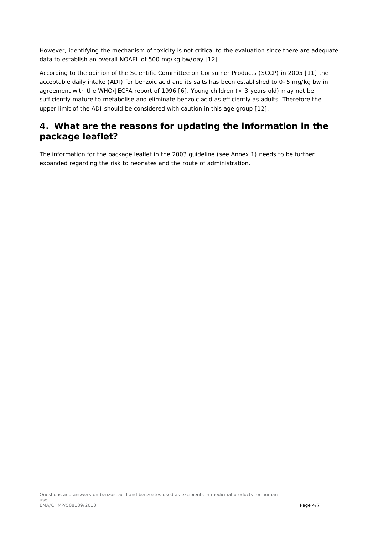However, identifying the mechanism of toxicity is not critical to the evaluation since there are adequate data to establish an overall NOAEL of 500 mg/kg bw/day [\[12\]](#page-5-8).

According to the opinion of the Scientific Committee on Consumer Products (SCCP) in 2005 [\[11\]](#page-5-9) the acceptable daily intake (ADI) for benzoic acid and its salts has been established to 0–5 mg/kg bw in agreement with the WHO/JECFA report of 1996 [\[6\]](#page-5-10). Young children (< 3 years old) may not be sufficiently mature to metabolise and eliminate benzoic acid as efficiently as adults. Therefore the upper limit of the ADI should be considered with caution in this age group [\[12\]](#page-5-8).

## <span id="page-3-0"></span>**4. What are the reasons for updating the information in the package leaflet?**

The information for the package leaflet in the 2003 guideline (see Annex 1) needs to be further expanded regarding the risk to neonates and the route of administration.

Questions and answers on benzoic acid and benzoates used as excipients in medicinal products for human use EMA/CHMP/508189/2013 Page 4/7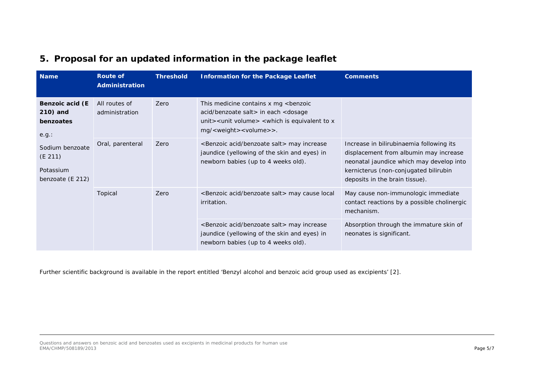| <b>Name</b>                                                                                                      | <b>Route of</b><br>Administration | <b>Threshold</b> | <b>Information for the Package Leaflet</b>                                                                                                                                                                                                  | <b>Comments</b>                                                                                                                                                                                           |
|------------------------------------------------------------------------------------------------------------------|-----------------------------------|------------------|---------------------------------------------------------------------------------------------------------------------------------------------------------------------------------------------------------------------------------------------|-----------------------------------------------------------------------------------------------------------------------------------------------------------------------------------------------------------|
| Benzoic acid (E<br>210) and<br>benzoates<br>e.g.:<br>Sodium benzoate<br>(E 211)<br>Potassium<br>benzoate (E 212) | All routes of<br>administration   | Zero             | This medicine contains x mg <benzoic<br>acid/benzoate salt &gt; in each &lt; dosage<br/>unit <math>&gt;</math> &lt; unit volume <math>&gt;</math> &lt; which is equivalent to x<br/>mg/<weight><volume>&gt;.</volume></weight></benzoic<br> |                                                                                                                                                                                                           |
|                                                                                                                  | Oral, parenteral                  | Zero             | <benzoic acid="" benzoate="" salt=""> may increase<br/>jaundice (yellowing of the skin and eyes) in<br/>newborn babies (up to 4 weeks old).</benzoic>                                                                                       | Increase in bilirubinaemia following its<br>displacement from albumin may increase<br>neonatal jaundice which may develop into<br>kernicterus (non-conjugated bilirubin<br>deposits in the brain tissue). |
|                                                                                                                  | Topical                           | Zero             | <benzoic acid="" benzoate="" salt=""> may cause local<br/>irritation.</benzoic>                                                                                                                                                             | May cause non-immunologic immediate<br>contact reactions by a possible cholinergic<br>mechanism.                                                                                                          |
|                                                                                                                  |                                   |                  | <benzoic acid="" benzoate="" salt=""> may increase<br/>jaundice (yellowing of the skin and eyes) in<br/>newborn babies (up to 4 weeks old).</benzoic>                                                                                       | Absorption through the immature skin of<br>neonates is significant.                                                                                                                                       |

## **5. Proposal for an updated information in the package leaflet**

<span id="page-4-0"></span>Further scientific background is available in the report entitled 'Benzyl alcohol and benzoic acid group used as excipients' [\[2\]](#page-5-11).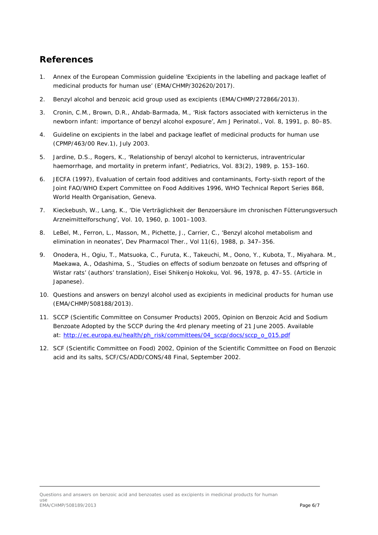## <span id="page-5-12"></span><span id="page-5-11"></span><span id="page-5-1"></span>**References**

- <span id="page-5-0"></span>1. Annex of the European Commission guideline 'Excipients in the labelling and package leaflet of medicinal products for human use' (EMA/CHMP/302620/2017).
- 2. Benzyl alcohol and benzoic acid group used as excipients (EMA/CHMP/272866/2013).
- <span id="page-5-4"></span>3. Cronin, C.M., Brown, D.R., Ahdab-Barmada, M., 'Risk factors associated with kernicterus in the newborn infant: importance of benzyl alcohol exposure', Am J Perinatol., Vol. 8, 1991, p. 80–85.
- 4. Guideline on excipients in the label and package leaflet of medicinal products for human use (CPMP/463/00 Rev.1), July 2003.
- <span id="page-5-5"></span>5. Jardine, D.S., Rogers, K., 'Relationship of benzyl alcohol to kernicterus, intraventricular haemorrhage, and mortality in preterm infant', Pediatrics, Vol. 83(2), 1989, p. 153–160.
- <span id="page-5-10"></span>6. JECFA (1997), Evaluation of certain food additives and contaminants, Forty-sixth report of the Joint FAO/WHO Expert Committee on Food Additives 1996, WHO Technical Report Series 868, World Health Organisation, Geneva.
- <span id="page-5-6"></span>7. Kieckebush, W., Lang, K., 'Die Verträglichkeit der Benzoersäure im chronischen Fütterungsversuch Arzneimittelforschung', Vol. 10, 1960, p. 1001–1003.
- <span id="page-5-3"></span>8. LeBel, M., Ferron, L., Masson, M., Pichette, J., Carrier, C., 'Benzyl alcohol metabolism and elimination in neonates', Dev Pharmacol Ther., Vol 11(6), 1988, p. 347–356.
- <span id="page-5-7"></span>9. Onodera, H., Ogiu, T., Matsuoka, C., Furuta, K., Takeuchi, M., Oono, Y., Kubota, T., Miyahara. M., Maekawa, A., Odashima, S., 'Studies on effects of sodium benzoate on fetuses and offspring of Wistar rats' (authors' translation), Eisei Shikenjo Hokoku, Vol. 96, 1978, p. 47–55. (Article in Japanese).
- <span id="page-5-2"></span>10. Questions and answers on benzyl alcohol used as excipients in medicinal products for human use (EMA/CHMP/508188/2013).
- <span id="page-5-9"></span>11. SCCP (Scientific Committee on Consumer Products) 2005, Opinion on Benzoic Acid and Sodium Benzoate Adopted by the SCCP during the 4rd plenary meeting of 21 June 2005. Available at: [http://ec.europa.eu/health/ph\\_risk/committees/04\\_sccp/docs/sccp\\_o\\_015.pdf](http://ec.europa.eu/health/ph_risk/committees/04_sccp/docs/sccp_o_015.pdf)
- <span id="page-5-8"></span>12. SCF (Scientific Committee on Food) 2002, Opinion of the Scientific Committee on Food on Benzoic acid and its salts, SCF/CS/ADD/CONS/48 Final, September 2002.